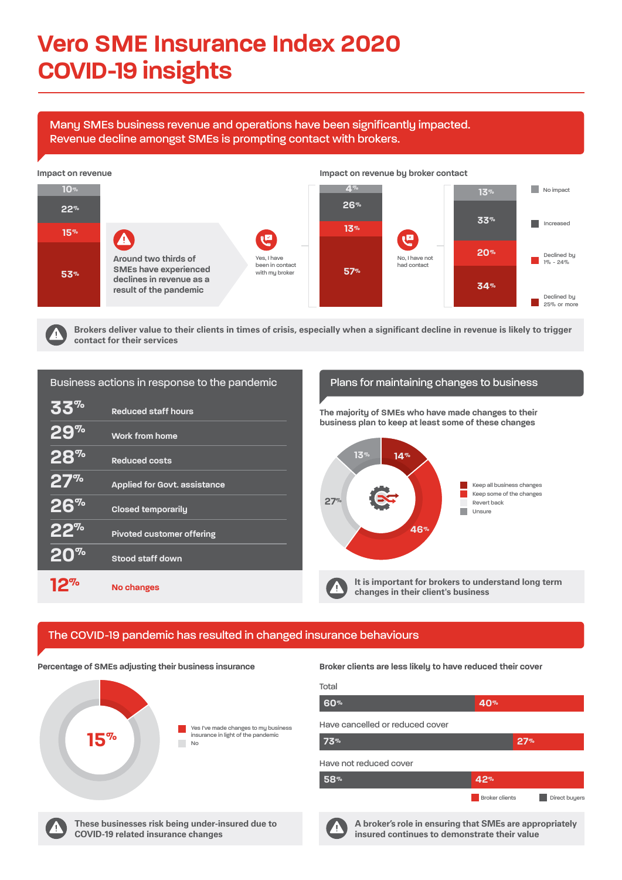# **Vero SME Insurance Index 2020 COVID-19 insights**

Many SMEs business revenue and operations have been significantly impacted. Revenue decline amongst SMEs is prompting contact with brokers.

# Business actions in response to the pandemic Plans for maintaining changes to business **33% Reduced staff hours 29% Work from home 28% Reduced costs 27% Applied for Govt. assistance 26% Closed temporarily 22% Pivoted customer offering 20%** Stood staff down **12% No changes**

**Brokers deliver value to their clients in times of crisis, especially when a significant decline in revenue is likely to trigger contact for their services**

# The COVID-19 pandemic has resulted in changed insurance behaviours

**A broker's role in ensuring that SMEs are appropriately insured continues to demonstrate their value**



**Broker clients are less likely to have reduced their cover Percentage of SMEs adjusting their business insurance**

**These businesses risk being under-insured due to COVID-19 related insurance changes**



| 60%                             | 40%                   |               |
|---------------------------------|-----------------------|---------------|
| Have cancelled or reduced cover |                       |               |
| 73%                             | 27%                   |               |
| Have not reduced cover          |                       |               |
| 58%                             | 42%                   |               |
|                                 | <b>Broker clients</b> | Direct buyers |



Ą



**The majority of SMEs who have made changes to their business plan to keep at least some of these changes**



### **Total**